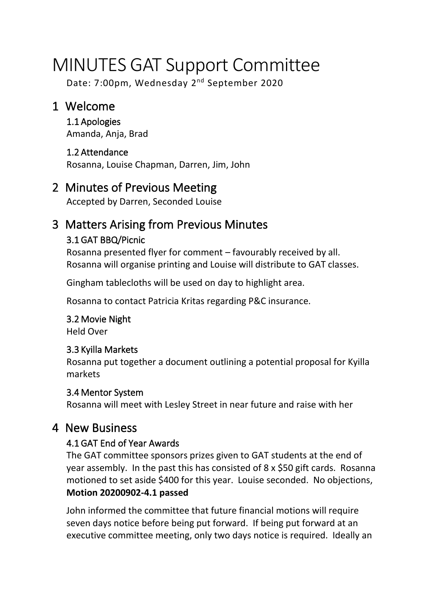# MINUTES GAT Support Committee

Date: 7:00pm, Wednesday 2<sup>nd</sup> September 2020

## 1 Welcome

1.1 Apologies Amanda, Anja, Brad

## 1.2 Attendance

Rosanna, Louise Chapman, Darren, Jim, John

## 2 Minutes of Previous Meeting

Accepted by Darren, Seconded Louise

## 3 Matters Arising from Previous Minutes

#### 3.1 GAT BBQ/Picnic

Rosanna presented flyer for comment – favourably received by all. Rosanna will organise printing and Louise will distribute to GAT classes.

Gingham tablecloths will be used on day to highlight area.

Rosanna to contact Patricia Kritas regarding P&C insurance.

## 3.2 Movie Night

Held Over

#### 3.3 Kyilla Markets

Rosanna put together a document outlining a potential proposal for Kyilla markets

#### 3.4 Mentor System

Rosanna will meet with Lesley Street in near future and raise with her

## 4 New Business

#### 4.1 GAT End of Year Awards

The GAT committee sponsors prizes given to GAT students at the end of year assembly. In the past this has consisted of 8 x \$50 gift cards. Rosanna motioned to set aside \$400 for this year. Louise seconded. No objections, **Motion 20200902-4.1 passed**

John informed the committee that future financial motions will require seven days notice before being put forward. If being put forward at an executive committee meeting, only two days notice is required. Ideally an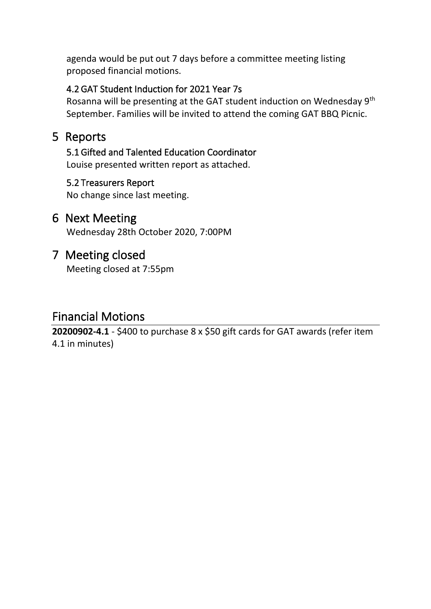agenda would be put out 7 days before a committee meeting listing proposed financial motions.

#### 4.2 GAT Student Induction for 2021 Year 7s

Rosanna will be presenting at the GAT student induction on Wednesday 9th September. Families will be invited to attend the coming GAT BBQ Picnic.

## 5 Reports

## 5.1 Gifted and Talented Education Coordinator

Louise presented written report as attached.

#### 5.2 Treasurers Report

No change since last meeting.

#### 6 Next Meeting

Wednesday 28th October 2020, 7:00PM

### 7 Meeting closed

Meeting closed at 7:55pm

## Financial Motions

**20200902-4.1** - \$400 to purchase 8 x \$50 gift cards for GAT awards (refer item 4.1 in minutes)